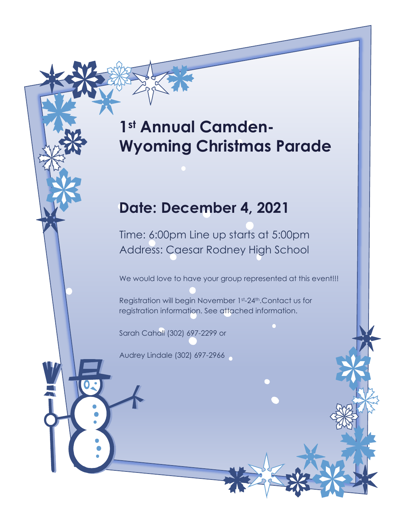# **1st Annual Camden-Wyoming Christmas Parade**

## **Date: December 4, 2021**

Time: 6:00pm Line up starts at 5:00pm Address: Caesar Rodney High School

We would love to have your group represented at this event!!!

Registration will begin November 1st-24th.Contact us for registration information. See attached information.

Sarah Cahall (302) 697-2299 or

Audrey Lindale (302) 697-2966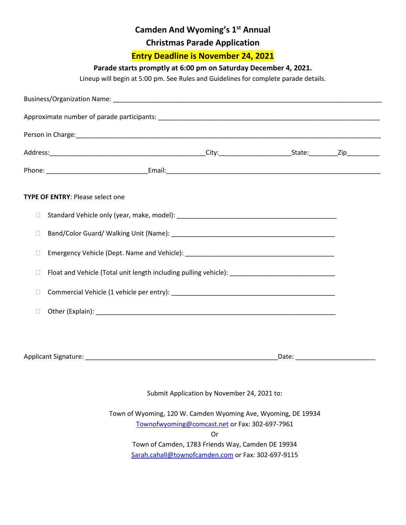### **Camden And Wyoming's 1st Annual**

**Christmas Parade Application**

**Entry Deadline is November 24, 2021**

#### **Parade starts promptly at 6:00 pm on Saturday December 4, 2021.**

Lineup will begin at 5:00 pm. See Rules and Guidelines for complete parade details.

|        | <b>TYPE OF ENTRY: Please select one</b>                                                             |  |
|--------|-----------------------------------------------------------------------------------------------------|--|
| $\Box$ |                                                                                                     |  |
| $\Box$ |                                                                                                     |  |
| $\Box$ |                                                                                                     |  |
| $\Box$ | Float and Vehicle (Total unit length including pulling vehicle): __________________________________ |  |
| $\Box$ |                                                                                                     |  |
| $\Box$ |                                                                                                     |  |
|        |                                                                                                     |  |
|        |                                                                                                     |  |
|        | Submit Application by November 24, 2021 to:                                                         |  |
|        | Town of Wyoming, 120 W. Camden Wyoming Ave, Wyoming, DE 19934                                       |  |
|        | Townofwyoming@comcast.net or Fax: 302-697-7961<br>Or                                                |  |

Town of Camden, 1783 Friends Way, Camden DE 19934 [Sarah.cahall@townofcamden.com](mailto:Sarah.cahall@townofcamden.com) or Fax: 302-697-9115